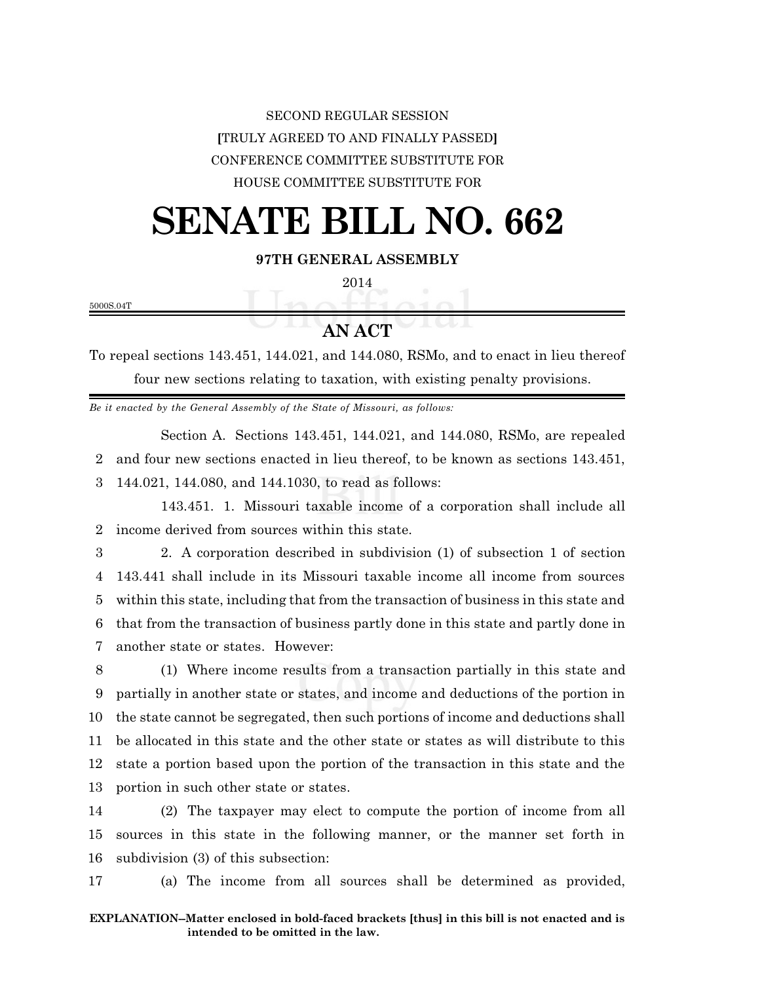## SECOND REGULAR SESSION **[**TRULY AGREED TO AND FINALLY PASSED**]** CONFERENCE COMMITTEE SUBSTITUTE FOR HOUSE COMMITTEE SUBSTITUTE FOR

## **SENATE BILL NO. 662**

**97TH GENERAL ASSEMBLY**

2014

5000S.04T

## **AN ACT**

To repeal sections 143.451, 144.021, and 144.080, RSMo, and to enact in lieu thereof four new sections relating to taxation, with existing penalty provisions.

*Be it enacted by the General Assembly of the State of Missouri, as follows:*

Section A. Sections 143.451, 144.021, and 144.080, RSMo, are repealed 2 and four new sections enacted in lieu thereof, to be known as sections 143.451,

3 144.021, 144.080, and 144.1030, to read as follows:

143.451. 1. Missouri taxable income of a corporation shall include all 2 income derived from sources within this state.

 2. A corporation described in subdivision (1) of subsection 1 of section 143.441 shall include in its Missouri taxable income all income from sources within this state, including that from the transaction of business in this state and that from the transaction of business partly done in this state and partly done in another state or states. However:

 (1) Where income results from a transaction partially in this state and partially in another state or states, and income and deductions of the portion in the state cannot be segregated, then such portions of income and deductions shall be allocated in this state and the other state or states as will distribute to this state a portion based upon the portion of the transaction in this state and the portion in such other state or states.

14 (2) The taxpayer may elect to compute the portion of income from all 15 sources in this state in the following manner, or the manner set forth in 16 subdivision (3) of this subsection:

17 (a) The income from all sources shall be determined as provided,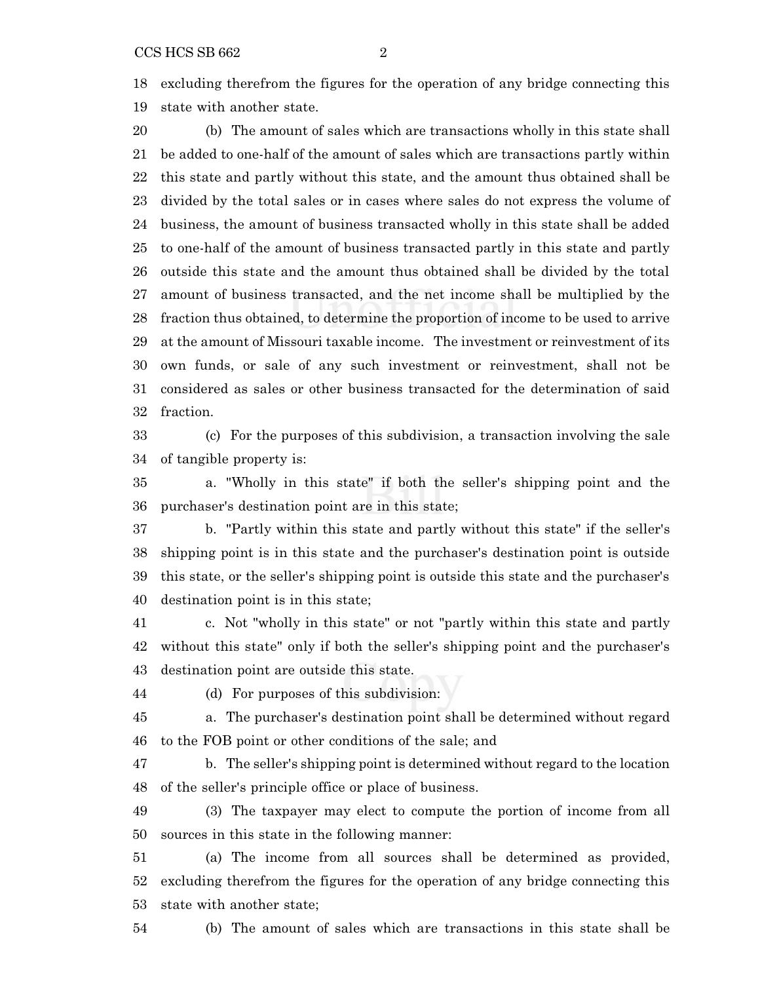CCS HCS SB 662 2

 excluding therefrom the figures for the operation of any bridge connecting this state with another state.

 (b) The amount of sales which are transactions wholly in this state shall be added to one-half of the amount of sales which are transactions partly within this state and partly without this state, and the amount thus obtained shall be divided by the total sales or in cases where sales do not express the volume of business, the amount of business transacted wholly in this state shall be added to one-half of the amount of business transacted partly in this state and partly outside this state and the amount thus obtained shall be divided by the total amount of business transacted, and the net income shall be multiplied by the fraction thus obtained, to determine the proportion of income to be used to arrive at the amount of Missouri taxable income. The investment or reinvestment of its own funds, or sale of any such investment or reinvestment, shall not be considered as sales or other business transacted for the determination of said fraction.

 (c) For the purposes of this subdivision, a transaction involving the sale of tangible property is:

 a. "Wholly in this state" if both the seller's shipping point and the purchaser's destination point are in this state;

 b. "Partly within this state and partly without this state" if the seller's shipping point is in this state and the purchaser's destination point is outside this state, or the seller's shipping point is outside this state and the purchaser's destination point is in this state;

 c. Not "wholly in this state" or not "partly within this state and partly without this state" only if both the seller's shipping point and the purchaser's destination point are outside this state.

(d) For purposes of this subdivision:

 a. The purchaser's destination point shall be determined without regard to the FOB point or other conditions of the sale; and

 b. The seller's shipping point is determined without regard to the location of the seller's principle office or place of business.

 (3) The taxpayer may elect to compute the portion of income from all sources in this state in the following manner:

 (a) The income from all sources shall be determined as provided, excluding therefrom the figures for the operation of any bridge connecting this state with another state;

(b) The amount of sales which are transactions in this state shall be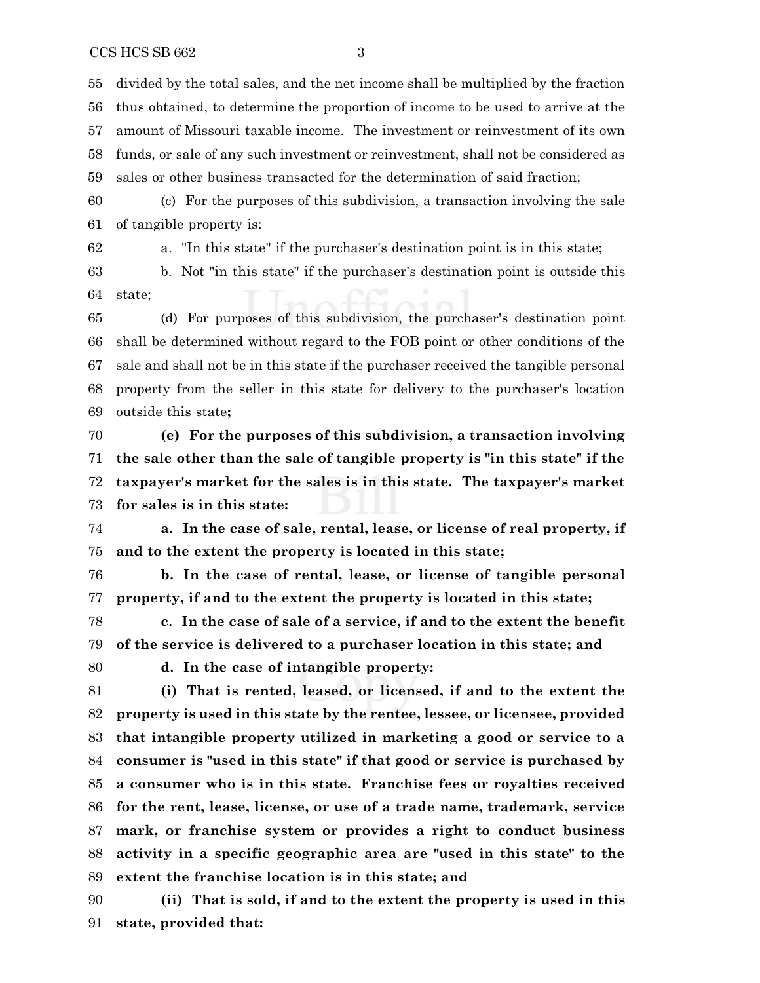divided by the total sales, and the net income shall be multiplied by the fraction thus obtained, to determine the proportion of income to be used to arrive at the amount of Missouri taxable income. The investment or reinvestment of its own funds, or sale of any such investment or reinvestment, shall not be considered as sales or other business transacted for the determination of said fraction;

 (c) For the purposes of this subdivision, a transaction involving the sale of tangible property is:

a. "In this state" if the purchaser's destination point is in this state;

 b. Not "in this state" if the purchaser's destination point is outside this state;

 (d) For purposes of this subdivision, the purchaser's destination point shall be determined without regard to the FOB point or other conditions of the sale and shall not be in this state if the purchaser received the tangible personal property from the seller in this state for delivery to the purchaser's location outside this state**;**

 **(e) For the purposes of this subdivision, a transaction involving the sale other than the sale of tangible property is "in this state" if the taxpayer's market for the sales is in this state. The taxpayer's market for sales is in this state:**

 **a. In the case of sale, rental, lease, or license of real property, if and to the extent the property is located in this state;**

 **b. In the case of rental, lease, or license of tangible personal property, if and to the extent the property is located in this state;**

 **c. In the case of sale of a service, if and to the extent the benefit of the service is delivered to a purchaser location in this state; and**

**d. In the case of intangible property:**

 **(i) That is rented, leased, or licensed, if and to the extent the property is used in this state by the rentee, lessee, or licensee, provided that intangible property utilized in marketing a good or service to a consumer is "used in this state" if that good or service is purchased by a consumer who is in this state. Franchise fees or royalties received for the rent, lease, license, or use of a trade name, trademark, service mark, or franchise system or provides a right to conduct business activity in a specific geographic area are "used in this state" to the extent the franchise location is in this state; and**

 **(ii) That is sold, if and to the extent the property is used in this state, provided that:**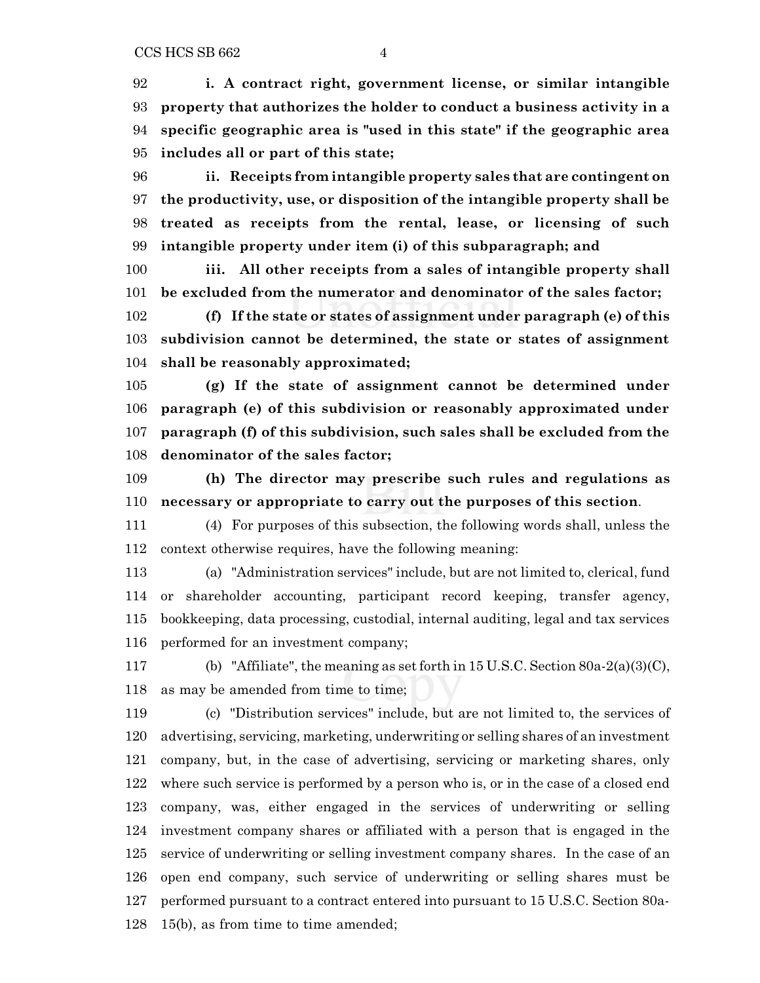**i. A contract right, government license, or similar intangible property that authorizes the holder to conduct a business activity in a specific geographic area is "used in this state" if the geographic area includes all or part of this state;**

 **ii. Receipts from intangible property sales that are contingent on the productivity, use, or disposition of the intangible property shall be treated as receipts from the rental, lease, or licensing of such intangible property under item (i) of this subparagraph; and**

 **iii. All other receipts from a sales of intangible property shall be excluded from the numerator and denominator of the sales factor;**

 **(f) If the state or states of assignment under paragraph (e) of this subdivision cannot be determined, the state or states of assignment shall be reasonably approximated;**

 **(g) If the state of assignment cannot be determined under paragraph (e) of this subdivision or reasonably approximated under paragraph (f) of this subdivision, such sales shall be excluded from the denominator of the sales factor;**

 **(h) The director may prescribe such rules and regulations as necessary or appropriate to carry out the purposes of this section**.

 (4) For purposes of this subsection, the following words shall, unless the context otherwise requires, have the following meaning:

 (a) "Administration services" include, but are not limited to, clerical, fund or shareholder accounting, participant record keeping, transfer agency, bookkeeping, data processing, custodial, internal auditing, legal and tax services performed for an investment company;

 (b) "Affiliate", the meaning as set forth in 15 U.S.C. Section 80a-2(a)(3)(C), as may be amended from time to time;

 (c) "Distribution services" include, but are not limited to, the services of advertising, servicing, marketing, underwriting or selling shares of an investment company, but, in the case of advertising, servicing or marketing shares, only where such service is performed by a person who is, or in the case of a closed end company, was, either engaged in the services of underwriting or selling investment company shares or affiliated with a person that is engaged in the service of underwriting or selling investment company shares. In the case of an open end company, such service of underwriting or selling shares must be performed pursuant to a contract entered into pursuant to 15 U.S.C. Section 80a-15(b), as from time to time amended;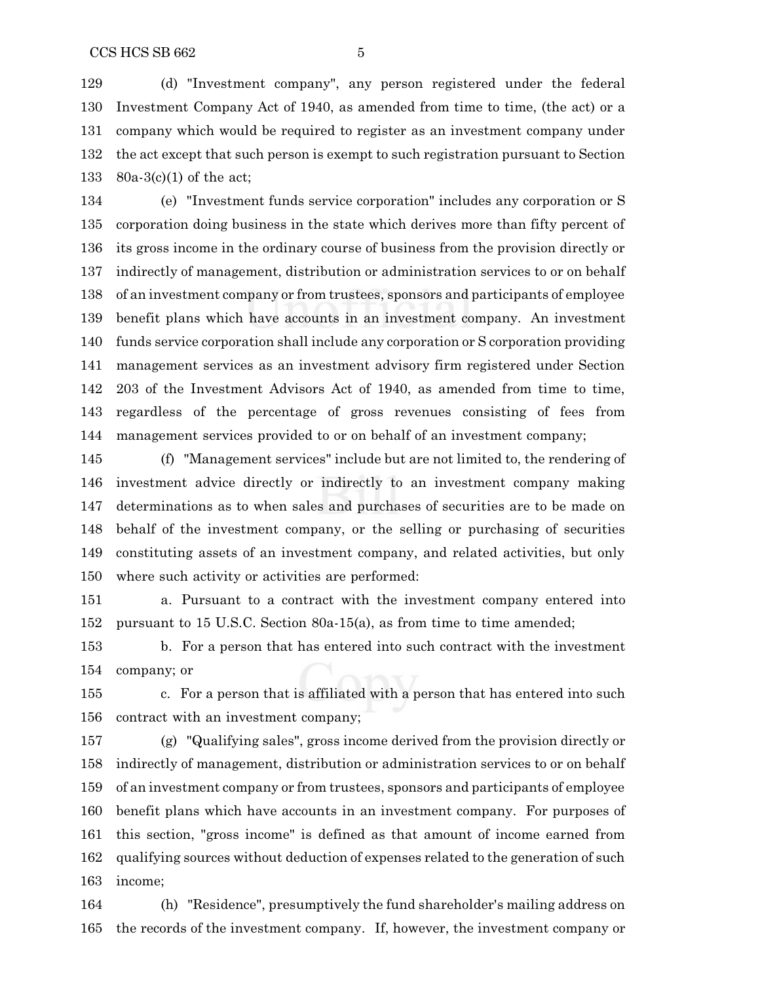(d) "Investment company", any person registered under the federal Investment Company Act of 1940, as amended from time to time, (the act) or a company which would be required to register as an investment company under the act except that such person is exempt to such registration pursuant to Section 80a-3(c)(1) of the act;

 (e) "Investment funds service corporation" includes any corporation or S corporation doing business in the state which derives more than fifty percent of its gross income in the ordinary course of business from the provision directly or indirectly of management, distribution or administration services to or on behalf of an investment company or from trustees, sponsors and participants of employee benefit plans which have accounts in an investment company. An investment funds service corporation shall include any corporation or S corporation providing management services as an investment advisory firm registered under Section 203 of the Investment Advisors Act of 1940, as amended from time to time, regardless of the percentage of gross revenues consisting of fees from management services provided to or on behalf of an investment company;

 (f) "Management services" include but are not limited to, the rendering of investment advice directly or indirectly to an investment company making determinations as to when sales and purchases of securities are to be made on behalf of the investment company, or the selling or purchasing of securities constituting assets of an investment company, and related activities, but only where such activity or activities are performed:

 a. Pursuant to a contract with the investment company entered into pursuant to 15 U.S.C. Section 80a-15(a), as from time to time amended;

 b. For a person that has entered into such contract with the investment company; or

 c. For a person that is affiliated with a person that has entered into such contract with an investment company;

 (g) "Qualifying sales", gross income derived from the provision directly or indirectly of management, distribution or administration services to or on behalf of an investment company or from trustees, sponsors and participants of employee benefit plans which have accounts in an investment company. For purposes of this section, "gross income" is defined as that amount of income earned from qualifying sources without deduction of expenses related to the generation of such income;

 (h) "Residence", presumptively the fund shareholder's mailing address on the records of the investment company. If, however, the investment company or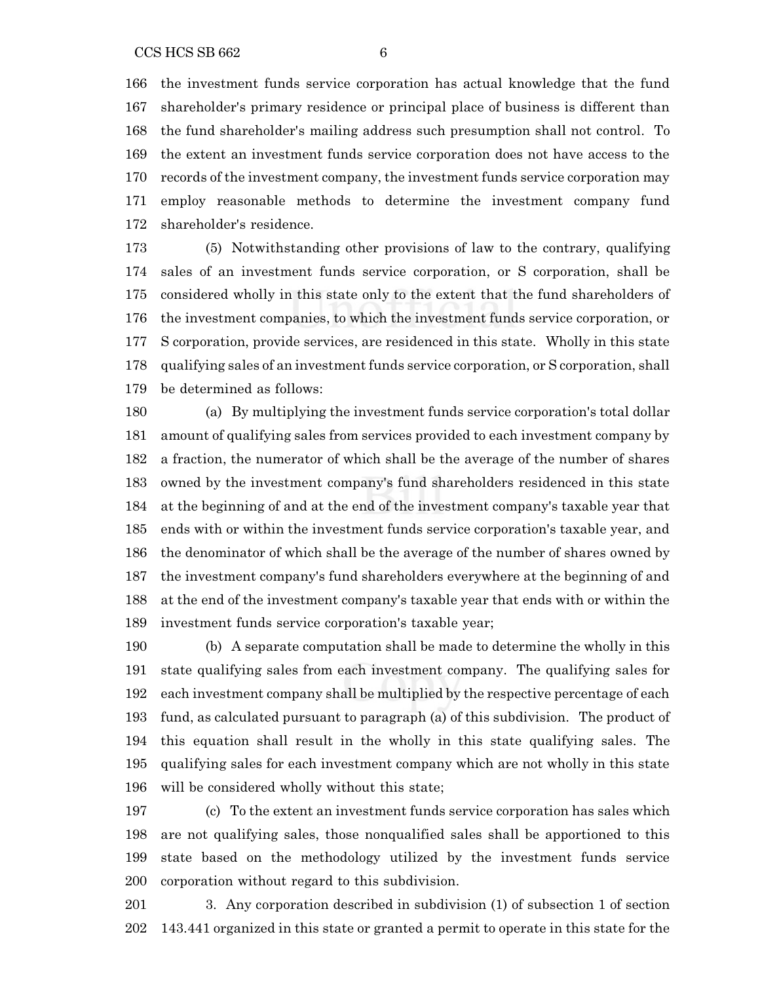the investment funds service corporation has actual knowledge that the fund shareholder's primary residence or principal place of business is different than the fund shareholder's mailing address such presumption shall not control. To the extent an investment funds service corporation does not have access to the records of the investment company, the investment funds service corporation may employ reasonable methods to determine the investment company fund shareholder's residence.

 (5) Notwithstanding other provisions of law to the contrary, qualifying sales of an investment funds service corporation, or S corporation, shall be considered wholly in this state only to the extent that the fund shareholders of the investment companies, to which the investment funds service corporation, or S corporation, provide services, are residenced in this state. Wholly in this state qualifying sales of an investment funds service corporation, or S corporation, shall be determined as follows:

 (a) By multiplying the investment funds service corporation's total dollar amount of qualifying sales from services provided to each investment company by a fraction, the numerator of which shall be the average of the number of shares owned by the investment company's fund shareholders residenced in this state at the beginning of and at the end of the investment company's taxable year that ends with or within the investment funds service corporation's taxable year, and the denominator of which shall be the average of the number of shares owned by the investment company's fund shareholders everywhere at the beginning of and at the end of the investment company's taxable year that ends with or within the investment funds service corporation's taxable year;

 (b) A separate computation shall be made to determine the wholly in this state qualifying sales from each investment company. The qualifying sales for each investment company shall be multiplied by the respective percentage of each fund, as calculated pursuant to paragraph (a) of this subdivision. The product of this equation shall result in the wholly in this state qualifying sales. The qualifying sales for each investment company which are not wholly in this state will be considered wholly without this state;

 (c) To the extent an investment funds service corporation has sales which are not qualifying sales, those nonqualified sales shall be apportioned to this state based on the methodology utilized by the investment funds service corporation without regard to this subdivision.

 3. Any corporation described in subdivision (1) of subsection 1 of section 143.441 organized in this state or granted a permit to operate in this state for the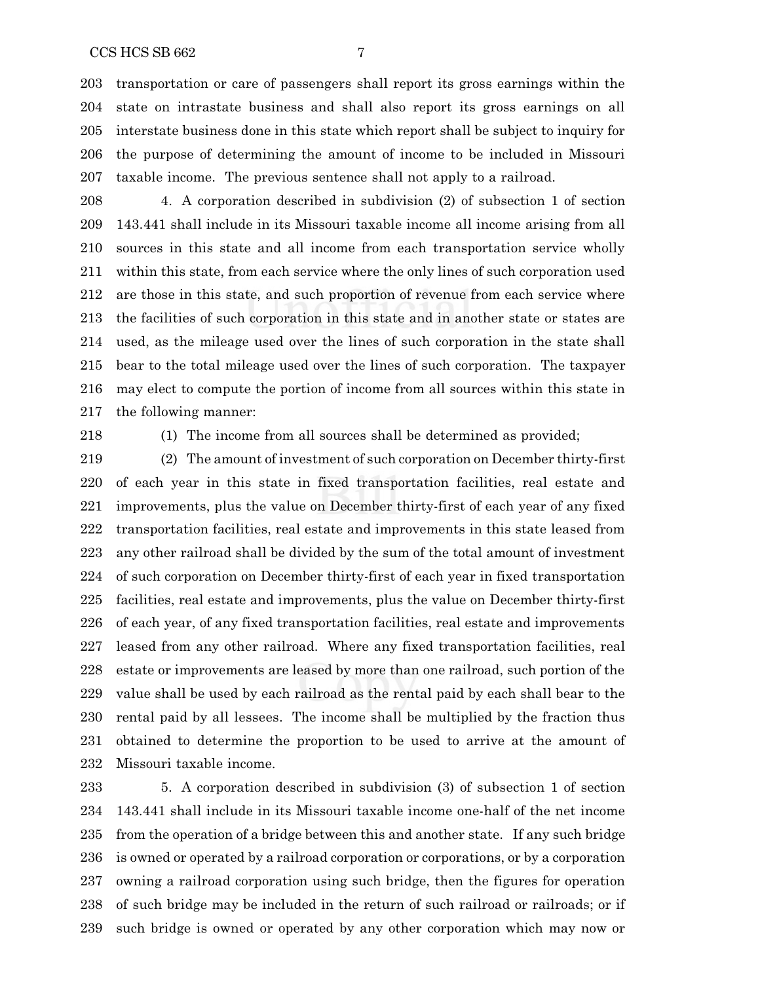transportation or care of passengers shall report its gross earnings within the state on intrastate business and shall also report its gross earnings on all interstate business done in this state which report shall be subject to inquiry for the purpose of determining the amount of income to be included in Missouri taxable income. The previous sentence shall not apply to a railroad.

 4. A corporation described in subdivision (2) of subsection 1 of section 143.441 shall include in its Missouri taxable income all income arising from all sources in this state and all income from each transportation service wholly within this state, from each service where the only lines of such corporation used are those in this state, and such proportion of revenue from each service where the facilities of such corporation in this state and in another state or states are used, as the mileage used over the lines of such corporation in the state shall bear to the total mileage used over the lines of such corporation. The taxpayer may elect to compute the portion of income from all sources within this state in the following manner:

(1) The income from all sources shall be determined as provided;

 (2) The amount of investment of such corporation on December thirty-first of each year in this state in fixed transportation facilities, real estate and improvements, plus the value on December thirty-first of each year of any fixed transportation facilities, real estate and improvements in this state leased from any other railroad shall be divided by the sum of the total amount of investment of such corporation on December thirty-first of each year in fixed transportation facilities, real estate and improvements, plus the value on December thirty-first of each year, of any fixed transportation facilities, real estate and improvements leased from any other railroad. Where any fixed transportation facilities, real estate or improvements are leased by more than one railroad, such portion of the value shall be used by each railroad as the rental paid by each shall bear to the rental paid by all lessees. The income shall be multiplied by the fraction thus obtained to determine the proportion to be used to arrive at the amount of Missouri taxable income.

 5. A corporation described in subdivision (3) of subsection 1 of section 143.441 shall include in its Missouri taxable income one-half of the net income from the operation of a bridge between this and another state. If any such bridge is owned or operated by a railroad corporation or corporations, or by a corporation owning a railroad corporation using such bridge, then the figures for operation of such bridge may be included in the return of such railroad or railroads; or if such bridge is owned or operated by any other corporation which may now or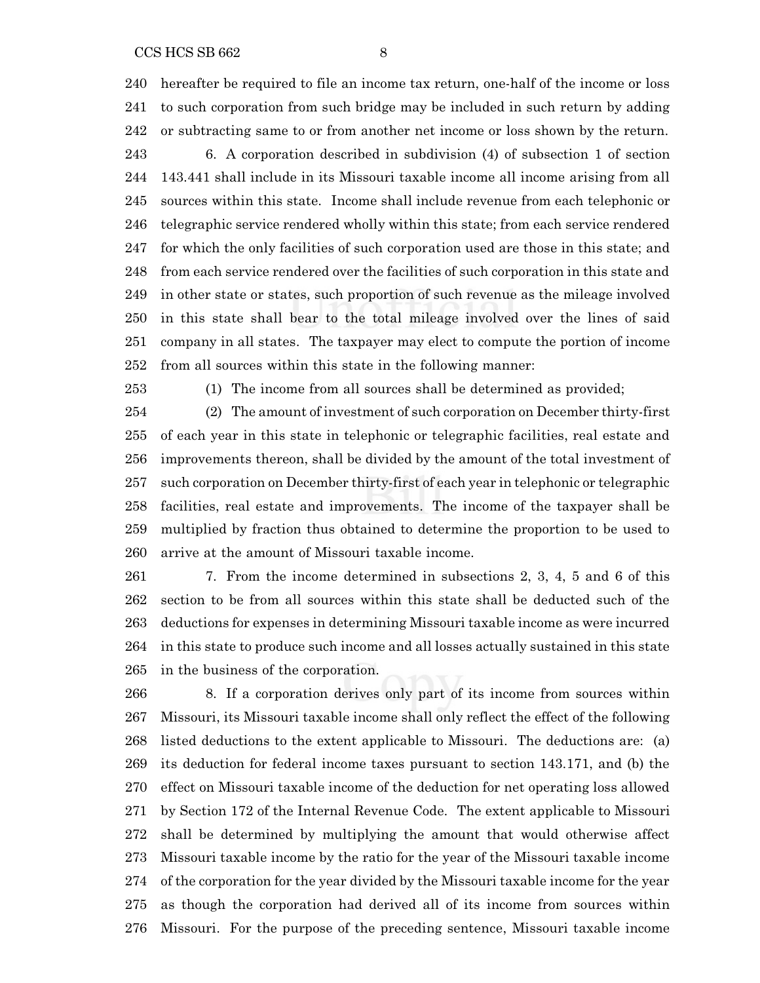hereafter be required to file an income tax return, one-half of the income or loss to such corporation from such bridge may be included in such return by adding or subtracting same to or from another net income or loss shown by the return.

 6. A corporation described in subdivision (4) of subsection 1 of section 143.441 shall include in its Missouri taxable income all income arising from all sources within this state. Income shall include revenue from each telephonic or telegraphic service rendered wholly within this state; from each service rendered for which the only facilities of such corporation used are those in this state; and from each service rendered over the facilities of such corporation in this state and in other state or states, such proportion of such revenue as the mileage involved in this state shall bear to the total mileage involved over the lines of said company in all states. The taxpayer may elect to compute the portion of income from all sources within this state in the following manner:

(1) The income from all sources shall be determined as provided;

 (2) The amount of investment of such corporation on December thirty-first of each year in this state in telephonic or telegraphic facilities, real estate and improvements thereon, shall be divided by the amount of the total investment of such corporation on December thirty-first of each year in telephonic or telegraphic facilities, real estate and improvements. The income of the taxpayer shall be multiplied by fraction thus obtained to determine the proportion to be used to arrive at the amount of Missouri taxable income.

 7. From the income determined in subsections 2, 3, 4, 5 and 6 of this section to be from all sources within this state shall be deducted such of the deductions for expenses in determining Missouri taxable income as were incurred in this state to produce such income and all losses actually sustained in this state in the business of the corporation.

 8. If a corporation derives only part of its income from sources within Missouri, its Missouri taxable income shall only reflect the effect of the following listed deductions to the extent applicable to Missouri. The deductions are: (a) its deduction for federal income taxes pursuant to section 143.171, and (b) the effect on Missouri taxable income of the deduction for net operating loss allowed by Section 172 of the Internal Revenue Code. The extent applicable to Missouri shall be determined by multiplying the amount that would otherwise affect Missouri taxable income by the ratio for the year of the Missouri taxable income of the corporation for the year divided by the Missouri taxable income for the year as though the corporation had derived all of its income from sources within Missouri. For the purpose of the preceding sentence, Missouri taxable income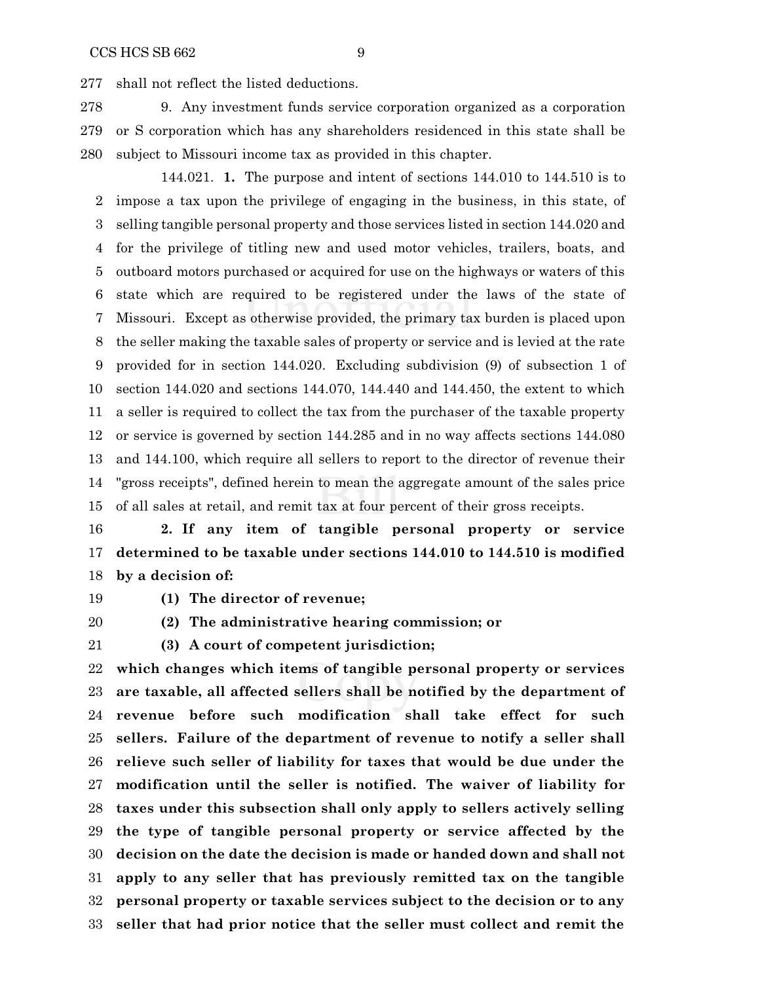shall not reflect the listed deductions.

 9. Any investment funds service corporation organized as a corporation or S corporation which has any shareholders residenced in this state shall be subject to Missouri income tax as provided in this chapter.

144.021. **1.** The purpose and intent of sections 144.010 to 144.510 is to impose a tax upon the privilege of engaging in the business, in this state, of selling tangible personal property and those services listed in section 144.020 and for the privilege of titling new and used motor vehicles, trailers, boats, and outboard motors purchased or acquired for use on the highways or waters of this state which are required to be registered under the laws of the state of Missouri. Except as otherwise provided, the primary tax burden is placed upon the seller making the taxable sales of property or service and is levied at the rate provided for in section 144.020. Excluding subdivision (9) of subsection 1 of section 144.020 and sections 144.070, 144.440 and 144.450, the extent to which a seller is required to collect the tax from the purchaser of the taxable property or service is governed by section 144.285 and in no way affects sections 144.080 and 144.100, which require all sellers to report to the director of revenue their "gross receipts", defined herein to mean the aggregate amount of the sales price of all sales at retail, and remit tax at four percent of their gross receipts.

 **2. If any item of tangible personal property or service determined to be taxable under sections 144.010 to 144.510 is modified by a decision of:**

**(1) The director of revenue;**

**(2) The administrative hearing commission; or**

**(3) A court of competent jurisdiction;**

 **which changes which items of tangible personal property or services are taxable, all affected sellers shall be notified by the department of revenue before such modification shall take effect for such sellers. Failure of the department of revenue to notify a seller shall relieve such seller of liability for taxes that would be due under the modification until the seller is notified. The waiver of liability for taxes under this subsection shall only apply to sellers actively selling the type of tangible personal property or service affected by the decision on the date the decision is made or handed down and shall not apply to any seller that has previously remitted tax on the tangible personal property or taxable services subject to the decision or to any seller that had prior notice that the seller must collect and remit the**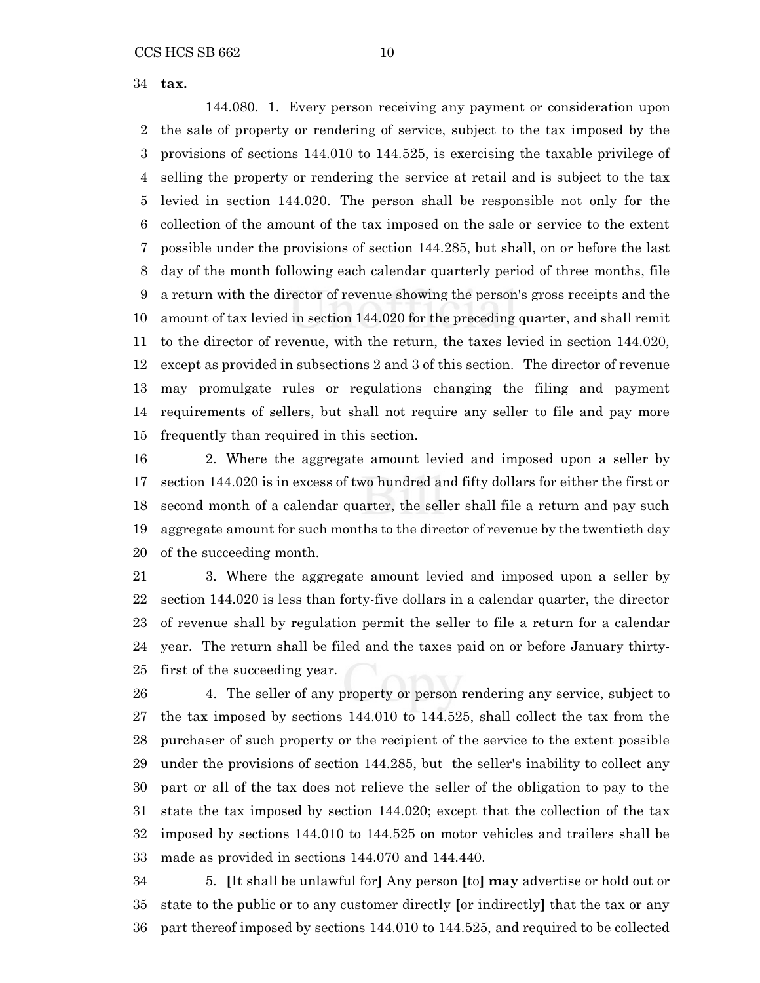**tax.**

144.080. 1. Every person receiving any payment or consideration upon the sale of property or rendering of service, subject to the tax imposed by the provisions of sections 144.010 to 144.525, is exercising the taxable privilege of selling the property or rendering the service at retail and is subject to the tax levied in section 144.020. The person shall be responsible not only for the collection of the amount of the tax imposed on the sale or service to the extent possible under the provisions of section 144.285, but shall, on or before the last day of the month following each calendar quarterly period of three months, file a return with the director of revenue showing the person's gross receipts and the amount of tax levied in section 144.020 for the preceding quarter, and shall remit to the director of revenue, with the return, the taxes levied in section 144.020, except as provided in subsections 2 and 3 of this section. The director of revenue may promulgate rules or regulations changing the filing and payment requirements of sellers, but shall not require any seller to file and pay more frequently than required in this section.

 2. Where the aggregate amount levied and imposed upon a seller by section 144.020 is in excess of two hundred and fifty dollars for either the first or second month of a calendar quarter, the seller shall file a return and pay such aggregate amount for such months to the director of revenue by the twentieth day of the succeeding month.

 3. Where the aggregate amount levied and imposed upon a seller by section 144.020 is less than forty-five dollars in a calendar quarter, the director of revenue shall by regulation permit the seller to file a return for a calendar year. The return shall be filed and the taxes paid on or before January thirty-first of the succeeding year.

 4. The seller of any property or person rendering any service, subject to the tax imposed by sections 144.010 to 144.525, shall collect the tax from the purchaser of such property or the recipient of the service to the extent possible under the provisions of section 144.285, but the seller's inability to collect any part or all of the tax does not relieve the seller of the obligation to pay to the state the tax imposed by section 144.020; except that the collection of the tax imposed by sections 144.010 to 144.525 on motor vehicles and trailers shall be made as provided in sections 144.070 and 144.440.

 5. **[**It shall be unlawful for**]** Any person **[**to**] may** advertise or hold out or state to the public or to any customer directly **[**or indirectly**]** that the tax or any part thereof imposed by sections 144.010 to 144.525, and required to be collected